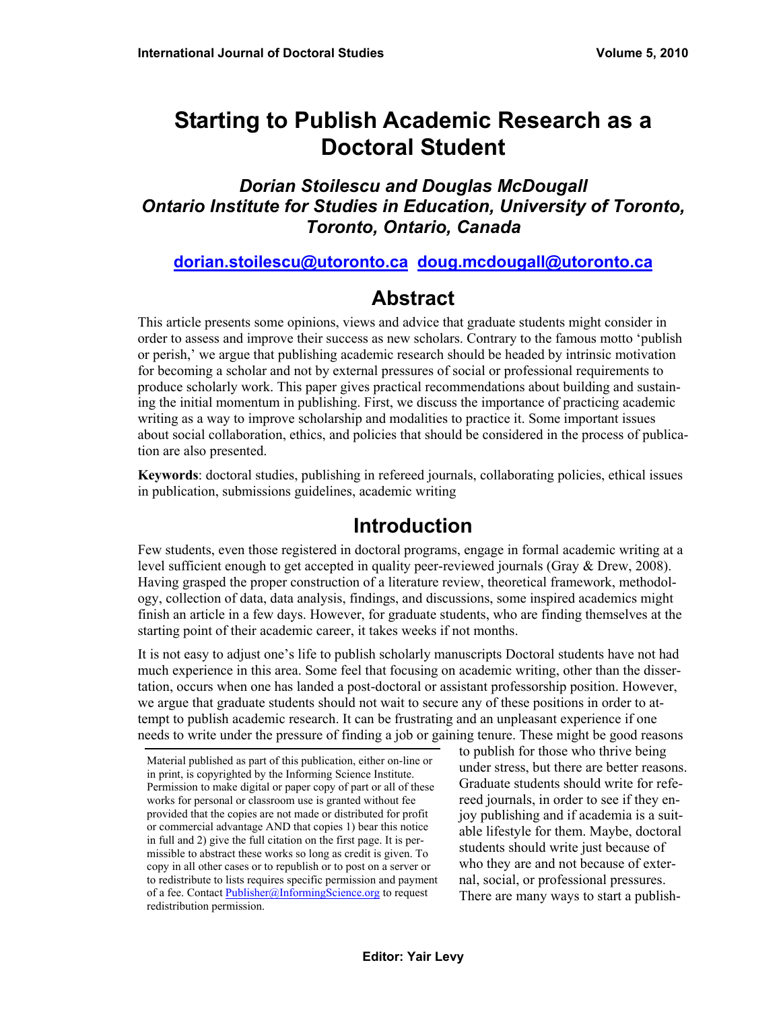# **Starting to Publish Academic Research as a Doctoral Student**

#### *Dorian Stoilescu and Douglas McDougall Ontario Institute for Studies in Education, University of Toronto, Toronto, Ontario, Canada*

#### **[dorian.stoilescu@utoronto.ca](mailto:dorian.stoilescu@utoronto.ca) [doug.mcdougall@utoronto.ca](mailto:doug.mcdougall@utoronto.ca)**

### **Abstract**

This article presents some opinions, views and advice that graduate students might consider in order to assess and improve their success as new scholars. Contrary to the famous motto 'publish or perish,' we argue that publishing academic research should be headed by intrinsic motivation for becoming a scholar and not by external pressures of social or professional requirements to produce scholarly work. This paper gives practical recommendations about building and sustaining the initial momentum in publishing. First, we discuss the importance of practicing academic writing as a way to improve scholarship and modalities to practice it. Some important issues about social collaboration, ethics, and policies that should be considered in the process of publication are also presented.

**Keywords**: doctoral studies, publishing in refereed journals, collaborating policies, ethical issues in publication, submissions guidelines, academic writing

## **Introduction**

Few students, even those registered in doctoral programs, engage in formal academic writing at a level sufficient enough to get accepted in quality peer-reviewed journals (Gray & Drew, 2008). Having grasped the proper construction of a literature review, theoretical framework, methodology, collection of data, data analysis, findings, and discussions, some inspired academics might finish an article in a few days. However, for graduate students, who are finding themselves at the starting point of their academic career, it takes weeks if not months.

It is not easy to adjust one's life to publish scholarly manuscripts Doctoral students have not had much experience in this area. Some feel that focusing on academic writing, other than the dissertation, occurs when one has landed a post-doctoral or assistant professorship position. However, we argue that graduate students should not wait to secure any of these positions in order to attempt to publish academic research. It can be frustrating and an unpleasant experience if one needs to write under the pressure of finding a job or gaining tenure. These might be good reasons

to publish for those who thrive being under stress, but there are better reasons. Graduate students should write for refereed journals, in order to see if they enjoy publishing and if academia is a suitable lifestyle for them. Maybe, doctoral students should write just because of who they are and not because of external, social, or professional pressures. There are many ways to start a publish-

Material published as part of this publication, either on-line or in print, is copyrighted by the Informing Science Institute. Permission to make digital or paper copy of part or all of these works for personal or classroom use is granted without fee provided that the copies are not made or distributed for profit or commercial advantage AND that copies 1) bear this notice in full and 2) give the full citation on the first page. It is permissible to abstract these works so long as credit is given. To copy in all other cases or to republish or to post on a server or to redistribute to lists requires specific permission and payment of a fee. Contact [Publisher@InformingScience.org](mailto:Publisher@InformingScience.org) to request redistribution permission.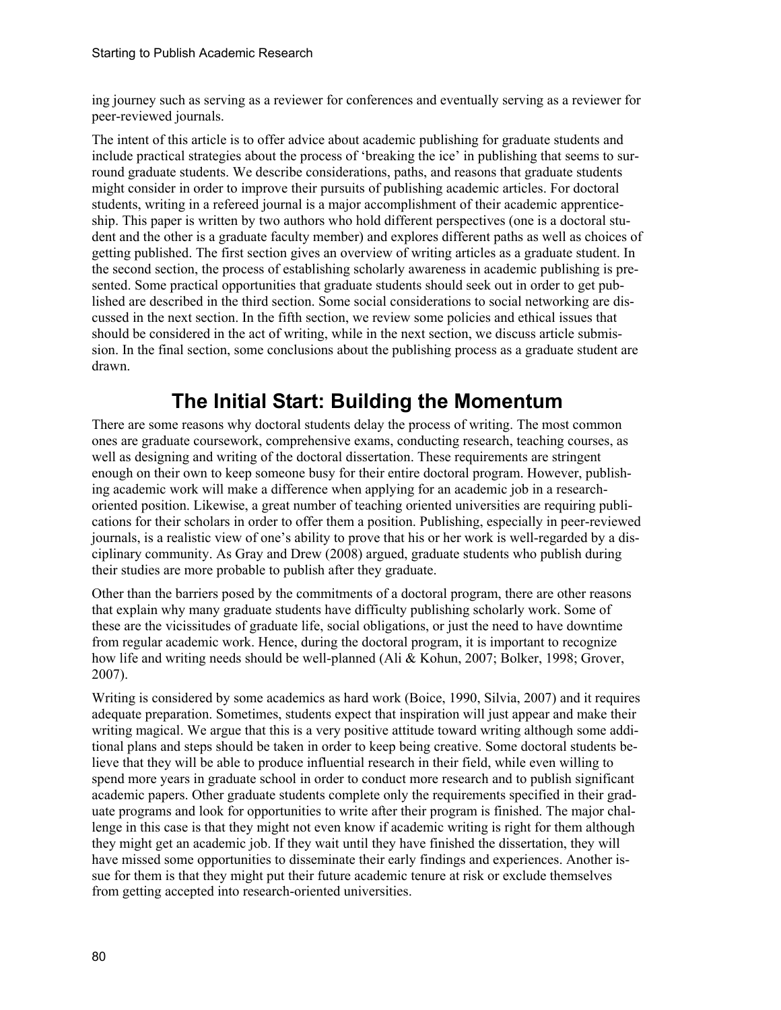ing journey such as serving as a reviewer for conferences and eventually serving as a reviewer for peer-reviewed journals.

The intent of this article is to offer advice about academic publishing for graduate students and include practical strategies about the process of 'breaking the ice' in publishing that seems to surround graduate students. We describe considerations, paths, and reasons that graduate students might consider in order to improve their pursuits of publishing academic articles. For doctoral students, writing in a refereed journal is a major accomplishment of their academic apprenticeship. This paper is written by two authors who hold different perspectives (one is a doctoral student and the other is a graduate faculty member) and explores different paths as well as choices of getting published. The first section gives an overview of writing articles as a graduate student. In the second section, the process of establishing scholarly awareness in academic publishing is presented. Some practical opportunities that graduate students should seek out in order to get published are described in the third section. Some social considerations to social networking are discussed in the next section. In the fifth section, we review some policies and ethical issues that should be considered in the act of writing, while in the next section, we discuss article submission. In the final section, some conclusions about the publishing process as a graduate student are drawn.

# **The Initial Start: Building the Momentum**

There are some reasons why doctoral students delay the process of writing. The most common ones are graduate coursework, comprehensive exams, conducting research, teaching courses, as well as designing and writing of the doctoral dissertation. These requirements are stringent enough on their own to keep someone busy for their entire doctoral program. However, publishing academic work will make a difference when applying for an academic job in a researchoriented position. Likewise, a great number of teaching oriented universities are requiring publications for their scholars in order to offer them a position. Publishing, especially in peer-reviewed journals, is a realistic view of one's ability to prove that his or her work is well-regarded by a disciplinary community. As Gray and Drew (2008) argued, graduate students who publish during their studies are more probable to publish after they graduate.

Other than the barriers posed by the commitments of a doctoral program, there are other reasons that explain why many graduate students have difficulty publishing scholarly work. Some of these are the vicissitudes of graduate life, social obligations, or just the need to have downtime from regular academic work. Hence, during the doctoral program, it is important to recognize how life and writing needs should be well-planned (Ali & Kohun, 2007; Bolker, 1998; Grover, 2007).

Writing is considered by some academics as hard work (Boice, 1990, Silvia, 2007) and it requires adequate preparation. Sometimes, students expect that inspiration will just appear and make their writing magical. We argue that this is a very positive attitude toward writing although some additional plans and steps should be taken in order to keep being creative. Some doctoral students believe that they will be able to produce influential research in their field, while even willing to spend more years in graduate school in order to conduct more research and to publish significant academic papers. Other graduate students complete only the requirements specified in their graduate programs and look for opportunities to write after their program is finished. The major challenge in this case is that they might not even know if academic writing is right for them although they might get an academic job. If they wait until they have finished the dissertation, they will have missed some opportunities to disseminate their early findings and experiences. Another issue for them is that they might put their future academic tenure at risk or exclude themselves from getting accepted into research-oriented universities.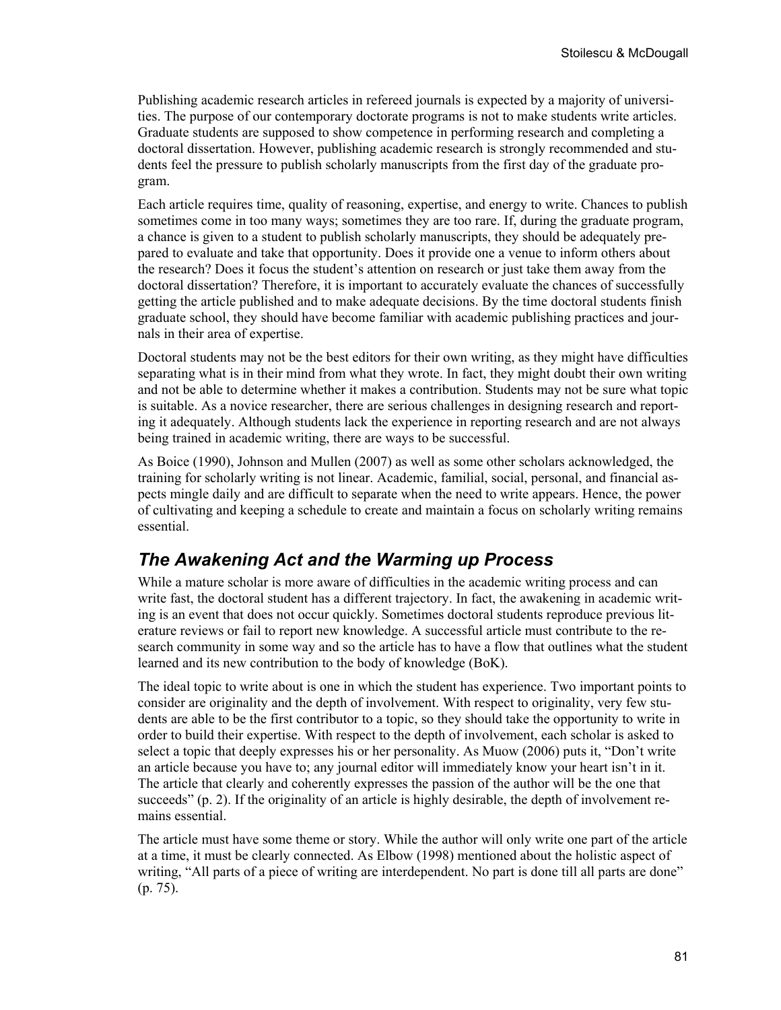Publishing academic research articles in refereed journals is expected by a majority of universities. The purpose of our contemporary doctorate programs is not to make students write articles. Graduate students are supposed to show competence in performing research and completing a doctoral dissertation. However, publishing academic research is strongly recommended and students feel the pressure to publish scholarly manuscripts from the first day of the graduate program.

Each article requires time, quality of reasoning, expertise, and energy to write. Chances to publish sometimes come in too many ways; sometimes they are too rare. If, during the graduate program, a chance is given to a student to publish scholarly manuscripts, they should be adequately prepared to evaluate and take that opportunity. Does it provide one a venue to inform others about the research? Does it focus the student's attention on research or just take them away from the doctoral dissertation? Therefore, it is important to accurately evaluate the chances of successfully getting the article published and to make adequate decisions. By the time doctoral students finish graduate school, they should have become familiar with academic publishing practices and journals in their area of expertise.

Doctoral students may not be the best editors for their own writing, as they might have difficulties separating what is in their mind from what they wrote. In fact, they might doubt their own writing and not be able to determine whether it makes a contribution. Students may not be sure what topic is suitable. As a novice researcher, there are serious challenges in designing research and reporting it adequately. Although students lack the experience in reporting research and are not always being trained in academic writing, there are ways to be successful.

As Boice (1990), Johnson and Mullen (2007) as well as some other scholars acknowledged, the training for scholarly writing is not linear. Academic, familial, social, personal, and financial aspects mingle daily and are difficult to separate when the need to write appears. Hence, the power of cultivating and keeping a schedule to create and maintain a focus on scholarly writing remains essential.

#### *The Awakening Act and the Warming up Process*

While a mature scholar is more aware of difficulties in the academic writing process and can write fast, the doctoral student has a different trajectory. In fact, the awakening in academic writing is an event that does not occur quickly. Sometimes doctoral students reproduce previous literature reviews or fail to report new knowledge. A successful article must contribute to the research community in some way and so the article has to have a flow that outlines what the student learned and its new contribution to the body of knowledge (BoK).

The ideal topic to write about is one in which the student has experience. Two important points to consider are originality and the depth of involvement. With respect to originality, very few students are able to be the first contributor to a topic, so they should take the opportunity to write in order to build their expertise. With respect to the depth of involvement, each scholar is asked to select a topic that deeply expresses his or her personality. As Muow (2006) puts it, "Don't write an article because you have to; any journal editor will immediately know your heart isn't in it. The article that clearly and coherently expresses the passion of the author will be the one that succeeds" (p. 2). If the originality of an article is highly desirable, the depth of involvement remains essential.

The article must have some theme or story. While the author will only write one part of the article at a time, it must be clearly connected. As Elbow (1998) mentioned about the holistic aspect of writing, "All parts of a piece of writing are interdependent. No part is done till all parts are done" (p. 75).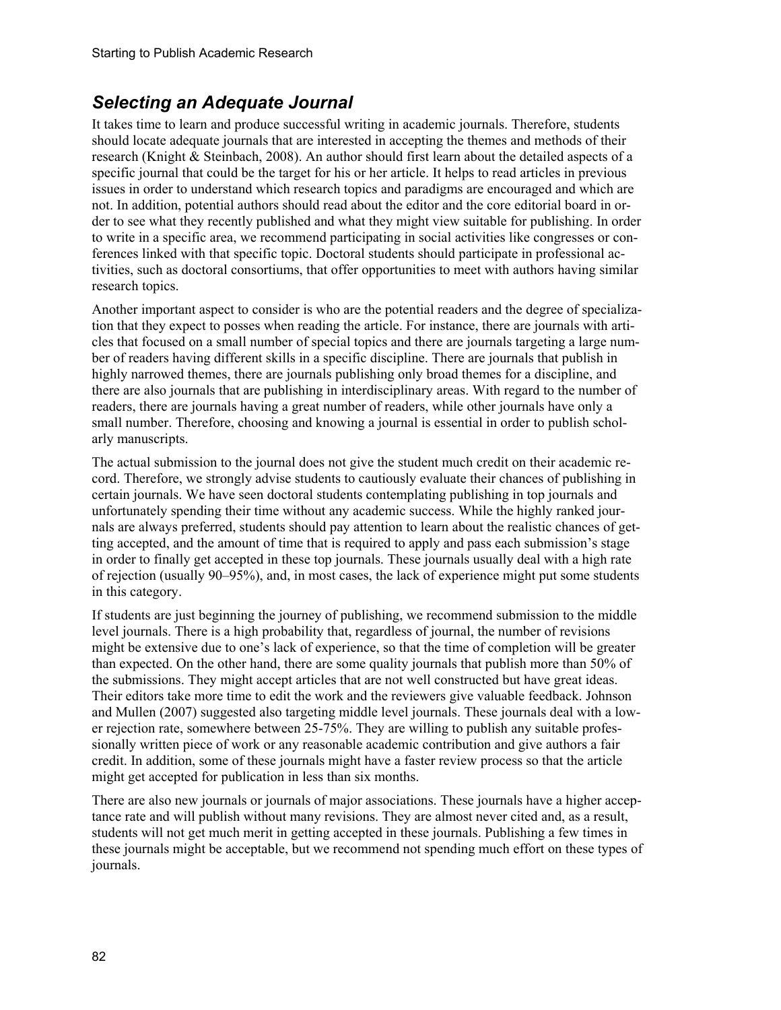#### *Selecting an Adequate Journal*

It takes time to learn and produce successful writing in academic journals. Therefore, students should locate adequate journals that are interested in accepting the themes and methods of their research (Knight & Steinbach, 2008). An author should first learn about the detailed aspects of a specific journal that could be the target for his or her article. It helps to read articles in previous issues in order to understand which research topics and paradigms are encouraged and which are not. In addition, potential authors should read about the editor and the core editorial board in order to see what they recently published and what they might view suitable for publishing. In order to write in a specific area, we recommend participating in social activities like congresses or conferences linked with that specific topic. Doctoral students should participate in professional activities, such as doctoral consortiums, that offer opportunities to meet with authors having similar research topics.

Another important aspect to consider is who are the potential readers and the degree of specialization that they expect to posses when reading the article. For instance, there are journals with articles that focused on a small number of special topics and there are journals targeting a large number of readers having different skills in a specific discipline. There are journals that publish in highly narrowed themes, there are journals publishing only broad themes for a discipline, and there are also journals that are publishing in interdisciplinary areas. With regard to the number of readers, there are journals having a great number of readers, while other journals have only a small number. Therefore, choosing and knowing a journal is essential in order to publish scholarly manuscripts.

The actual submission to the journal does not give the student much credit on their academic record. Therefore, we strongly advise students to cautiously evaluate their chances of publishing in certain journals. We have seen doctoral students contemplating publishing in top journals and unfortunately spending their time without any academic success. While the highly ranked journals are always preferred, students should pay attention to learn about the realistic chances of getting accepted, and the amount of time that is required to apply and pass each submission's stage in order to finally get accepted in these top journals. These journals usually deal with a high rate of rejection (usually 90–95%), and, in most cases, the lack of experience might put some students in this category.

If students are just beginning the journey of publishing, we recommend submission to the middle level journals. There is a high probability that, regardless of journal, the number of revisions might be extensive due to one's lack of experience, so that the time of completion will be greater than expected. On the other hand, there are some quality journals that publish more than 50% of the submissions. They might accept articles that are not well constructed but have great ideas. Their editors take more time to edit the work and the reviewers give valuable feedback. Johnson and Mullen (2007) suggested also targeting middle level journals. These journals deal with a lower rejection rate, somewhere between 25-75%. They are willing to publish any suitable professionally written piece of work or any reasonable academic contribution and give authors a fair credit. In addition, some of these journals might have a faster review process so that the article might get accepted for publication in less than six months.

There are also new journals or journals of major associations. These journals have a higher acceptance rate and will publish without many revisions. They are almost never cited and, as a result, students will not get much merit in getting accepted in these journals. Publishing a few times in these journals might be acceptable, but we recommend not spending much effort on these types of journals.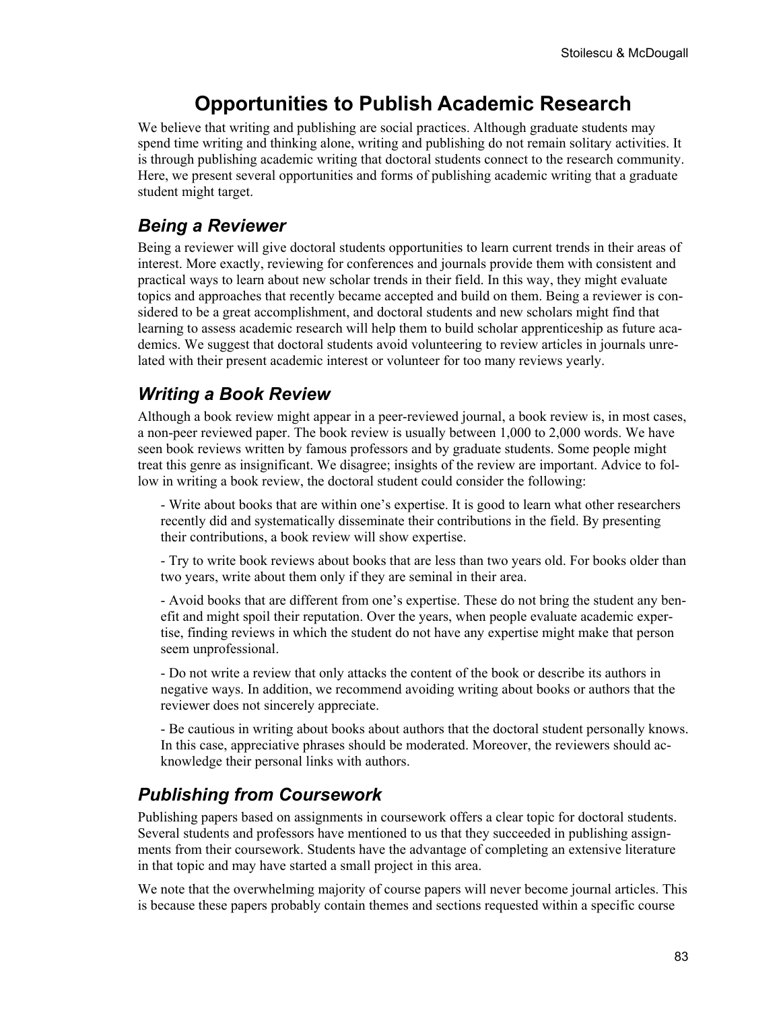## **Opportunities to Publish Academic Research**

We believe that writing and publishing are social practices. Although graduate students may spend time writing and thinking alone, writing and publishing do not remain solitary activities. It is through publishing academic writing that doctoral students connect to the research community. Here, we present several opportunities and forms of publishing academic writing that a graduate student might target.

#### *Being a Reviewer*

Being a reviewer will give doctoral students opportunities to learn current trends in their areas of interest. More exactly, reviewing for conferences and journals provide them with consistent and practical ways to learn about new scholar trends in their field. In this way, they might evaluate topics and approaches that recently became accepted and build on them. Being a reviewer is considered to be a great accomplishment, and doctoral students and new scholars might find that learning to assess academic research will help them to build scholar apprenticeship as future academics. We suggest that doctoral students avoid volunteering to review articles in journals unrelated with their present academic interest or volunteer for too many reviews yearly.

### *Writing a Book Review*

Although a book review might appear in a peer-reviewed journal, a book review is, in most cases, a non-peer reviewed paper. The book review is usually between 1,000 to 2,000 words. We have seen book reviews written by famous professors and by graduate students. Some people might treat this genre as insignificant. We disagree; insights of the review are important. Advice to follow in writing a book review, the doctoral student could consider the following:

- Write about books that are within one's expertise. It is good to learn what other researchers recently did and systematically disseminate their contributions in the field. By presenting their contributions, a book review will show expertise.

- Try to write book reviews about books that are less than two years old. For books older than two years, write about them only if they are seminal in their area.

- Avoid books that are different from one's expertise. These do not bring the student any benefit and might spoil their reputation. Over the years, when people evaluate academic expertise, finding reviews in which the student do not have any expertise might make that person seem unprofessional.

- Do not write a review that only attacks the content of the book or describe its authors in negative ways. In addition, we recommend avoiding writing about books or authors that the reviewer does not sincerely appreciate.

- Be cautious in writing about books about authors that the doctoral student personally knows. In this case, appreciative phrases should be moderated. Moreover, the reviewers should acknowledge their personal links with authors.

### *Publishing from Coursework*

Publishing papers based on assignments in coursework offers a clear topic for doctoral students. Several students and professors have mentioned to us that they succeeded in publishing assignments from their coursework. Students have the advantage of completing an extensive literature in that topic and may have started a small project in this area.

We note that the overwhelming majority of course papers will never become journal articles. This is because these papers probably contain themes and sections requested within a specific course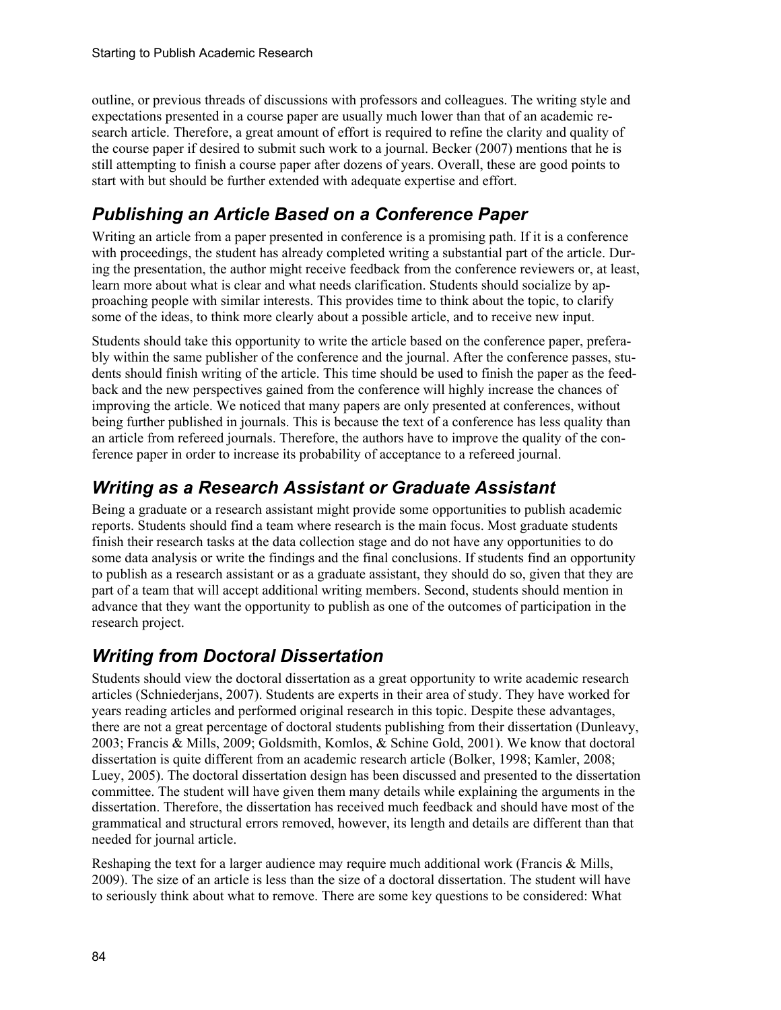outline, or previous threads of discussions with professors and colleagues. The writing style and expectations presented in a course paper are usually much lower than that of an academic research article. Therefore, a great amount of effort is required to refine the clarity and quality of the course paper if desired to submit such work to a journal. Becker (2007) mentions that he is still attempting to finish a course paper after dozens of years. Overall, these are good points to start with but should be further extended with adequate expertise and effort.

## *Publishing an Article Based on a Conference Paper*

Writing an article from a paper presented in conference is a promising path. If it is a conference with proceedings, the student has already completed writing a substantial part of the article. During the presentation, the author might receive feedback from the conference reviewers or, at least, learn more about what is clear and what needs clarification. Students should socialize by approaching people with similar interests. This provides time to think about the topic, to clarify some of the ideas, to think more clearly about a possible article, and to receive new input.

Students should take this opportunity to write the article based on the conference paper, preferably within the same publisher of the conference and the journal. After the conference passes, students should finish writing of the article. This time should be used to finish the paper as the feedback and the new perspectives gained from the conference will highly increase the chances of improving the article. We noticed that many papers are only presented at conferences, without being further published in journals. This is because the text of a conference has less quality than an article from refereed journals. Therefore, the authors have to improve the quality of the conference paper in order to increase its probability of acceptance to a refereed journal.

## *Writing as a Research Assistant or Graduate Assistant*

Being a graduate or a research assistant might provide some opportunities to publish academic reports. Students should find a team where research is the main focus. Most graduate students finish their research tasks at the data collection stage and do not have any opportunities to do some data analysis or write the findings and the final conclusions. If students find an opportunity to publish as a research assistant or as a graduate assistant, they should do so, given that they are part of a team that will accept additional writing members. Second, students should mention in advance that they want the opportunity to publish as one of the outcomes of participation in the research project.

### *Writing from Doctoral Dissertation*

Students should view the doctoral dissertation as a great opportunity to write academic research articles (Schniederjans, 2007). Students are experts in their area of study. They have worked for years reading articles and performed original research in this topic. Despite these advantages, there are not a great percentage of doctoral students publishing from their dissertation (Dunleavy, 2003; Francis & Mills, 2009; Goldsmith, Komlos, & Schine Gold, 2001). We know that doctoral dissertation is quite different from an academic research article (Bolker, 1998; Kamler, 2008; Luey, 2005). The doctoral dissertation design has been discussed and presented to the dissertation committee. The student will have given them many details while explaining the arguments in the dissertation. Therefore, the dissertation has received much feedback and should have most of the grammatical and structural errors removed, however, its length and details are different than that needed for journal article.

Reshaping the text for a larger audience may require much additional work (Francis & Mills, 2009). The size of an article is less than the size of a doctoral dissertation. The student will have to seriously think about what to remove. There are some key questions to be considered: What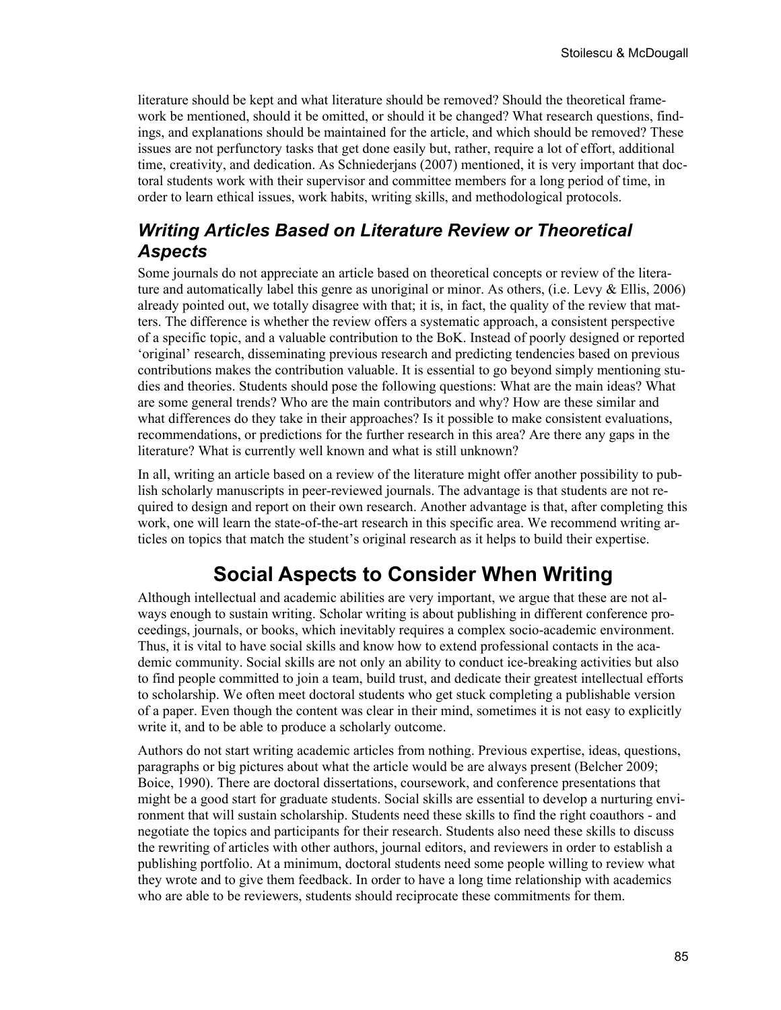literature should be kept and what literature should be removed? Should the theoretical framework be mentioned, should it be omitted, or should it be changed? What research questions, findings, and explanations should be maintained for the article, and which should be removed? These issues are not perfunctory tasks that get done easily but, rather, require a lot of effort, additional time, creativity, and dedication. As Schniederjans (2007) mentioned, it is very important that doctoral students work with their supervisor and committee members for a long period of time, in order to learn ethical issues, work habits, writing skills, and methodological protocols.

#### *Writing Articles Based on Literature Review or Theoretical Aspects*

Some journals do not appreciate an article based on theoretical concepts or review of the literature and automatically label this genre as unoriginal or minor. As others, (i.e. Levy & Ellis, 2006) already pointed out, we totally disagree with that; it is, in fact, the quality of the review that matters. The difference is whether the review offers a systematic approach, a consistent perspective of a specific topic, and a valuable contribution to the BoK. Instead of poorly designed or reported 'original' research, disseminating previous research and predicting tendencies based on previous contributions makes the contribution valuable. It is essential to go beyond simply mentioning studies and theories. Students should pose the following questions: What are the main ideas? What are some general trends? Who are the main contributors and why? How are these similar and what differences do they take in their approaches? Is it possible to make consistent evaluations, recommendations, or predictions for the further research in this area? Are there any gaps in the literature? What is currently well known and what is still unknown?

In all, writing an article based on a review of the literature might offer another possibility to publish scholarly manuscripts in peer-reviewed journals. The advantage is that students are not required to design and report on their own research. Another advantage is that, after completing this work, one will learn the state-of-the-art research in this specific area. We recommend writing articles on topics that match the student's original research as it helps to build their expertise.

# **Social Aspects to Consider When Writing**

Although intellectual and academic abilities are very important, we argue that these are not always enough to sustain writing. Scholar writing is about publishing in different conference proceedings, journals, or books, which inevitably requires a complex socio-academic environment. Thus, it is vital to have social skills and know how to extend professional contacts in the academic community. Social skills are not only an ability to conduct ice-breaking activities but also to find people committed to join a team, build trust, and dedicate their greatest intellectual efforts to scholarship. We often meet doctoral students who get stuck completing a publishable version of a paper. Even though the content was clear in their mind, sometimes it is not easy to explicitly write it, and to be able to produce a scholarly outcome.

Authors do not start writing academic articles from nothing. Previous expertise, ideas, questions, paragraphs or big pictures about what the article would be are always present (Belcher 2009; Boice, 1990). There are doctoral dissertations, coursework, and conference presentations that might be a good start for graduate students. Social skills are essential to develop a nurturing environment that will sustain scholarship. Students need these skills to find the right coauthors - and negotiate the topics and participants for their research. Students also need these skills to discuss the rewriting of articles with other authors, journal editors, and reviewers in order to establish a publishing portfolio. At a minimum, doctoral students need some people willing to review what they wrote and to give them feedback. In order to have a long time relationship with academics who are able to be reviewers, students should reciprocate these commitments for them.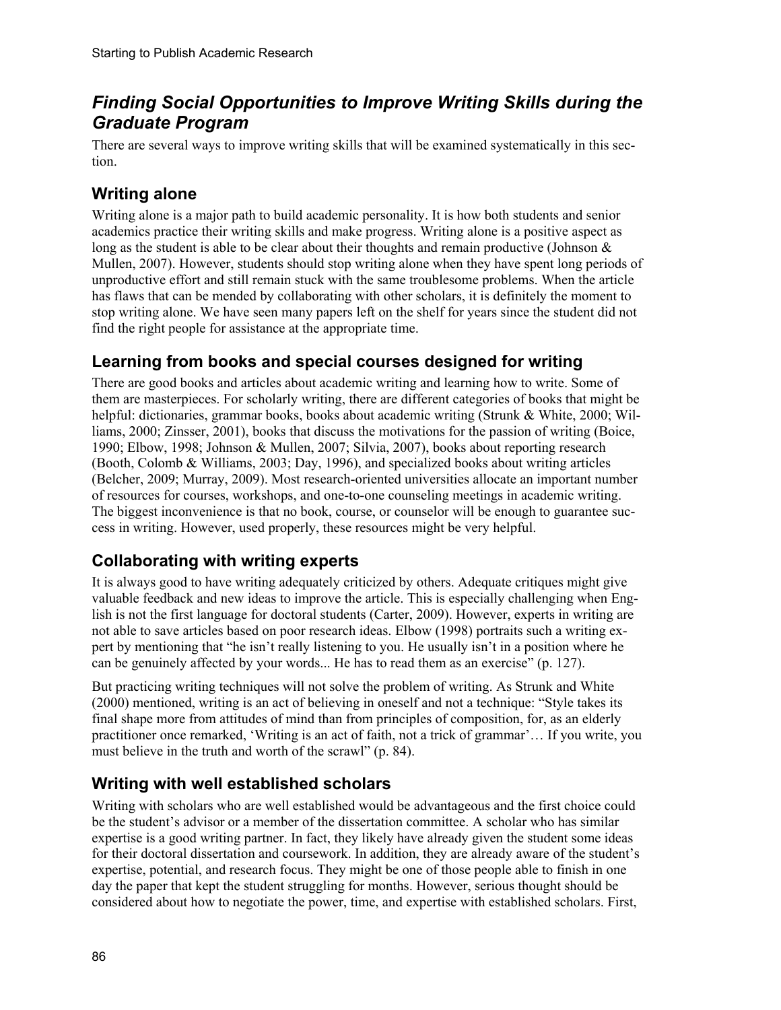### *Finding Social Opportunities to Improve Writing Skills during the Graduate Program*

There are several ways to improve writing skills that will be examined systematically in this section.

#### **Writing alone**

Writing alone is a major path to build academic personality. It is how both students and senior academics practice their writing skills and make progress. Writing alone is a positive aspect as long as the student is able to be clear about their thoughts and remain productive (Johnson  $\&$ Mullen, 2007). However, students should stop writing alone when they have spent long periods of unproductive effort and still remain stuck with the same troublesome problems. When the article has flaws that can be mended by collaborating with other scholars, it is definitely the moment to stop writing alone. We have seen many papers left on the shelf for years since the student did not find the right people for assistance at the appropriate time.

#### **Learning from books and special courses designed for writing**

There are good books and articles about academic writing and learning how to write. Some of them are masterpieces. For scholarly writing, there are different categories of books that might be helpful: dictionaries, grammar books, books about academic writing (Strunk & White, 2000; Williams, 2000; Zinsser, 2001), books that discuss the motivations for the passion of writing (Boice, 1990; Elbow, 1998; Johnson & Mullen, 2007; Silvia, 2007), books about reporting research (Booth, Colomb & Williams, 2003; Day, 1996), and specialized books about writing articles (Belcher, 2009; Murray, 2009). Most research-oriented universities allocate an important number of resources for courses, workshops, and one-to-one counseling meetings in academic writing. The biggest inconvenience is that no book, course, or counselor will be enough to guarantee success in writing. However, used properly, these resources might be very helpful.

### **Collaborating with writing experts**

It is always good to have writing adequately criticized by others. Adequate critiques might give valuable feedback and new ideas to improve the article. This is especially challenging when English is not the first language for doctoral students (Carter, 2009). However, experts in writing are not able to save articles based on poor research ideas. Elbow (1998) portraits such a writing expert by mentioning that "he isn't really listening to you. He usually isn't in a position where he can be genuinely affected by your words... He has to read them as an exercise" (p. 127).

But practicing writing techniques will not solve the problem of writing. As Strunk and White (2000) mentioned, writing is an act of believing in oneself and not a technique: "Style takes its final shape more from attitudes of mind than from principles of composition, for, as an elderly practitioner once remarked, 'Writing is an act of faith, not a trick of grammar'… If you write, you must believe in the truth and worth of the scrawl" (p. 84).

#### **Writing with well established scholars**

Writing with scholars who are well established would be advantageous and the first choice could be the student's advisor or a member of the dissertation committee. A scholar who has similar expertise is a good writing partner. In fact, they likely have already given the student some ideas for their doctoral dissertation and coursework. In addition, they are already aware of the student's expertise, potential, and research focus. They might be one of those people able to finish in one day the paper that kept the student struggling for months. However, serious thought should be considered about how to negotiate the power, time, and expertise with established scholars. First,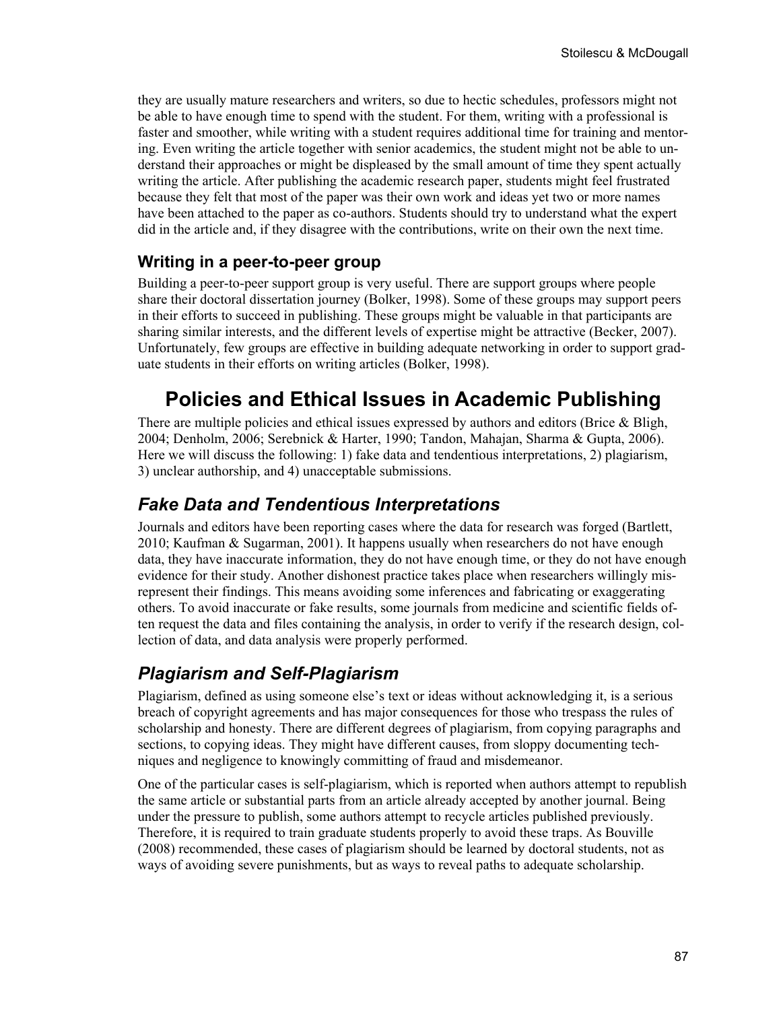they are usually mature researchers and writers, so due to hectic schedules, professors might not be able to have enough time to spend with the student. For them, writing with a professional is faster and smoother, while writing with a student requires additional time for training and mentoring. Even writing the article together with senior academics, the student might not be able to understand their approaches or might be displeased by the small amount of time they spent actually writing the article. After publishing the academic research paper, students might feel frustrated because they felt that most of the paper was their own work and ideas yet two or more names have been attached to the paper as co-authors. Students should try to understand what the expert did in the article and, if they disagree with the contributions, write on their own the next time.

#### **Writing in a peer-to-peer group**

Building a peer-to-peer support group is very useful. There are support groups where people share their doctoral dissertation journey (Bolker, 1998). Some of these groups may support peers in their efforts to succeed in publishing. These groups might be valuable in that participants are sharing similar interests, and the different levels of expertise might be attractive (Becker, 2007). Unfortunately, few groups are effective in building adequate networking in order to support graduate students in their efforts on writing articles (Bolker, 1998).

# **Policies and Ethical Issues in Academic Publishing**

There are multiple policies and ethical issues expressed by authors and editors (Brice  $\&$  Bligh, 2004; Denholm, 2006; Serebnick & Harter, 1990; Tandon, Mahajan, Sharma & Gupta, 2006). Here we will discuss the following: 1) fake data and tendentious interpretations, 2) plagiarism, 3) unclear authorship, and 4) unacceptable submissions.

#### *Fake Data and Tendentious Interpretations*

Journals and editors have been reporting cases where the data for research was forged (Bartlett, 2010; Kaufman & Sugarman, 2001). It happens usually when researchers do not have enough data, they have inaccurate information, they do not have enough time, or they do not have enough evidence for their study. Another dishonest practice takes place when researchers willingly misrepresent their findings. This means avoiding some inferences and fabricating or exaggerating others. To avoid inaccurate or fake results, some journals from medicine and scientific fields often request the data and files containing the analysis, in order to verify if the research design, collection of data, and data analysis were properly performed.

#### *Plagiarism and Self-Plagiarism*

Plagiarism, defined as using someone else's text or ideas without acknowledging it, is a serious breach of copyright agreements and has major consequences for those who trespass the rules of scholarship and honesty. There are different degrees of plagiarism, from copying paragraphs and sections, to copying ideas. They might have different causes, from sloppy documenting techniques and negligence to knowingly committing of fraud and misdemeanor.

One of the particular cases is self-plagiarism, which is reported when authors attempt to republish the same article or substantial parts from an article already accepted by another journal. Being under the pressure to publish, some authors attempt to recycle articles published previously. Therefore, it is required to train graduate students properly to avoid these traps. As Bouville (2008) recommended, these cases of plagiarism should be learned by doctoral students, not as ways of avoiding severe punishments, but as ways to reveal paths to adequate scholarship.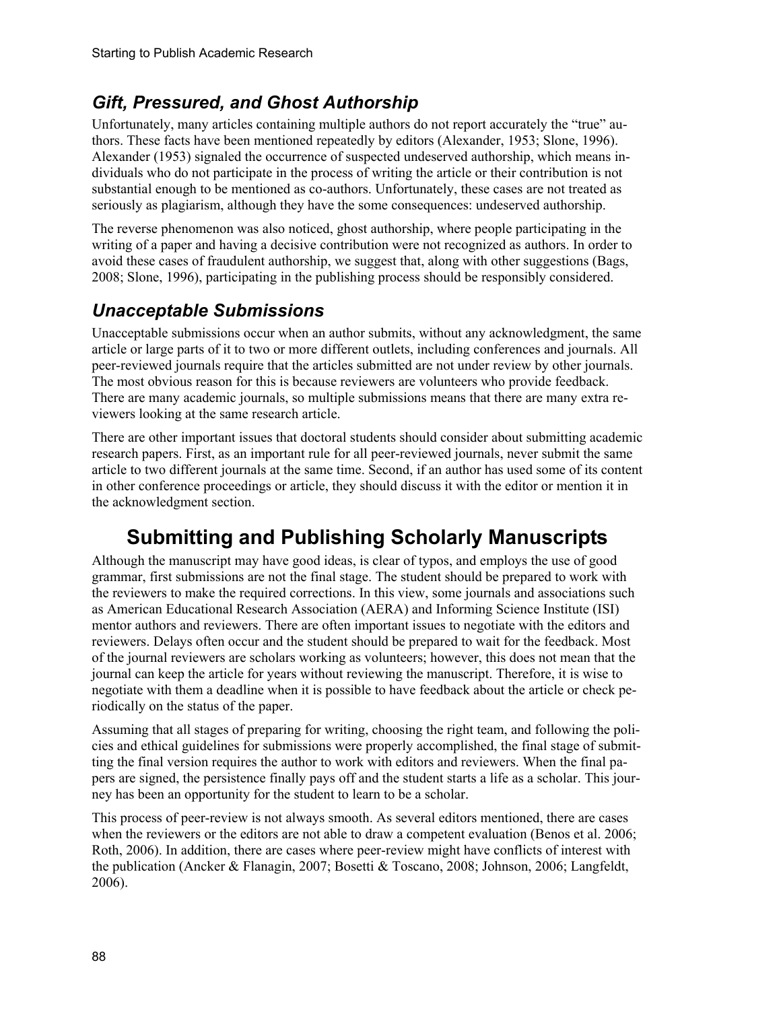#### *Gift, Pressured, and Ghost Authorship*

Unfortunately, many articles containing multiple authors do not report accurately the "true" authors. These facts have been mentioned repeatedly by editors (Alexander, 1953; Slone, 1996). Alexander (1953) signaled the occurrence of suspected undeserved authorship, which means individuals who do not participate in the process of writing the article or their contribution is not substantial enough to be mentioned as co-authors. Unfortunately, these cases are not treated as seriously as plagiarism, although they have the some consequences: undeserved authorship.

The reverse phenomenon was also noticed, ghost authorship, where people participating in the writing of a paper and having a decisive contribution were not recognized as authors. In order to avoid these cases of fraudulent authorship, we suggest that, along with other suggestions (Bags, 2008; Slone, 1996), participating in the publishing process should be responsibly considered.

#### *Unacceptable Submissions*

Unacceptable submissions occur when an author submits, without any acknowledgment, the same article or large parts of it to two or more different outlets, including conferences and journals. All peer-reviewed journals require that the articles submitted are not under review by other journals. The most obvious reason for this is because reviewers are volunteers who provide feedback. There are many academic journals, so multiple submissions means that there are many extra reviewers looking at the same research article.

There are other important issues that doctoral students should consider about submitting academic research papers. First, as an important rule for all peer-reviewed journals, never submit the same article to two different journals at the same time. Second, if an author has used some of its content in other conference proceedings or article, they should discuss it with the editor or mention it in the acknowledgment section.

# **Submitting and Publishing Scholarly Manuscripts**

Although the manuscript may have good ideas, is clear of typos, and employs the use of good grammar, first submissions are not the final stage. The student should be prepared to work with the reviewers to make the required corrections. In this view, some journals and associations such as American Educational Research Association (AERA) and Informing Science Institute (ISI) mentor authors and reviewers. There are often important issues to negotiate with the editors and reviewers. Delays often occur and the student should be prepared to wait for the feedback. Most of the journal reviewers are scholars working as volunteers; however, this does not mean that the journal can keep the article for years without reviewing the manuscript. Therefore, it is wise to negotiate with them a deadline when it is possible to have feedback about the article or check periodically on the status of the paper.

Assuming that all stages of preparing for writing, choosing the right team, and following the policies and ethical guidelines for submissions were properly accomplished, the final stage of submitting the final version requires the author to work with editors and reviewers. When the final papers are signed, the persistence finally pays off and the student starts a life as a scholar. This journey has been an opportunity for the student to learn to be a scholar.

This process of peer-review is not always smooth. As several editors mentioned, there are cases when the reviewers or the editors are not able to draw a competent evaluation (Benos et al. 2006; Roth, 2006). In addition, there are cases where peer-review might have conflicts of interest with the publication (Ancker & Flanagin, 2007; Bosetti & Toscano, 2008; Johnson, 2006; Langfeldt, 2006).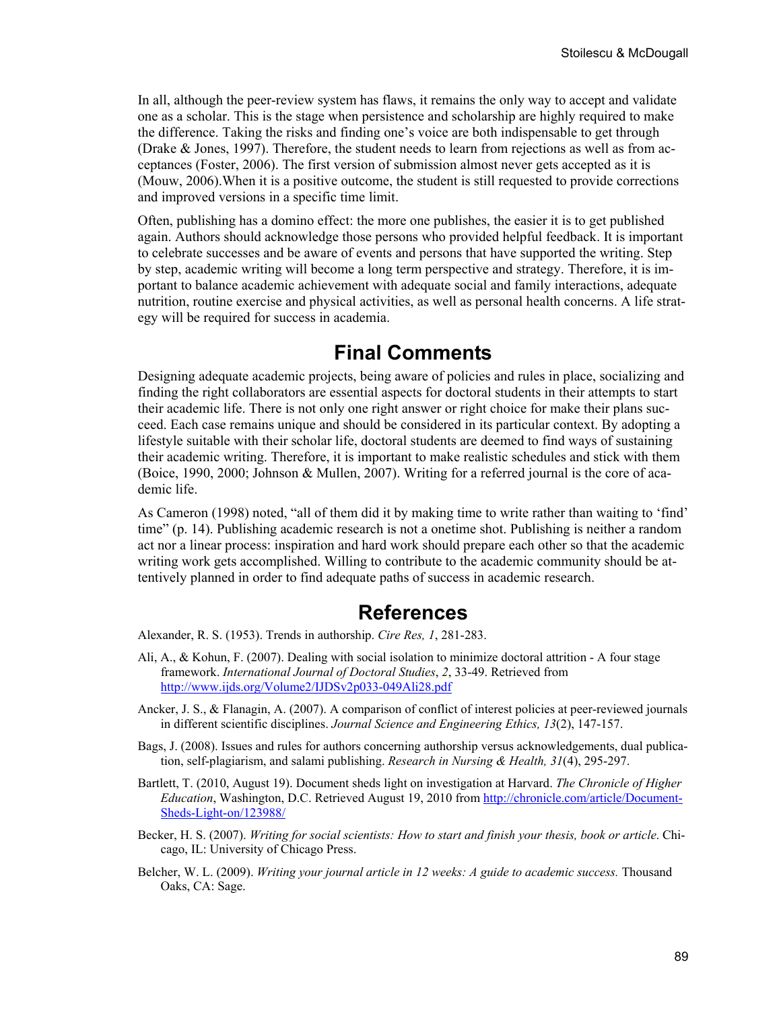In all, although the peer-review system has flaws, it remains the only way to accept and validate one as a scholar. This is the stage when persistence and scholarship are highly required to make the difference. Taking the risks and finding one's voice are both indispensable to get through (Drake & Jones, 1997). Therefore, the student needs to learn from rejections as well as from acceptances (Foster, 2006). The first version of submission almost never gets accepted as it is (Mouw, 2006).When it is a positive outcome, the student is still requested to provide corrections and improved versions in a specific time limit.

Often, publishing has a domino effect: the more one publishes, the easier it is to get published again. Authors should acknowledge those persons who provided helpful feedback. It is important to celebrate successes and be aware of events and persons that have supported the writing. Step by step, academic writing will become a long term perspective and strategy. Therefore, it is important to balance academic achievement with adequate social and family interactions, adequate nutrition, routine exercise and physical activities, as well as personal health concerns. A life strategy will be required for success in academia.

### **Final Comments**

Designing adequate academic projects, being aware of policies and rules in place, socializing and finding the right collaborators are essential aspects for doctoral students in their attempts to start their academic life. There is not only one right answer or right choice for make their plans succeed. Each case remains unique and should be considered in its particular context. By adopting a lifestyle suitable with their scholar life, doctoral students are deemed to find ways of sustaining their academic writing. Therefore, it is important to make realistic schedules and stick with them (Boice, 1990, 2000; Johnson & Mullen, 2007). Writing for a referred journal is the core of academic life.

As Cameron (1998) noted, "all of them did it by making time to write rather than waiting to 'find' time" (p. 14). Publishing academic research is not a onetime shot. Publishing is neither a random act nor a linear process: inspiration and hard work should prepare each other so that the academic writing work gets accomplished. Willing to contribute to the academic community should be attentively planned in order to find adequate paths of success in academic research.

### **References**

Alexander, R. S. (1953). Trends in authorship. *Cire Res, 1*, 281-283.

- Ali, A., & Kohun, F. (2007). Dealing with social isolation to minimize doctoral attrition A four stage framework. *International Journal of Doctoral Studies*, *2*, 33-49. Retrieved from <http://www.ijds.org/Volume2/IJDSv2p033-049Ali28.pdf>
- Ancker, J. S., & Flanagin, A. (2007). A comparison of conflict of interest policies at peer-reviewed journals in different scientific disciplines. *Journal Science and Engineering Ethics, 13*(2), 147-157.
- Bags, J. (2008). Issues and rules for authors concerning authorship versus acknowledgements, dual publication, self-plagiarism, and salami publishing. *Research in Nursing & Health, 31*(4), 295-297.
- Bartlett, T. (2010, August 19). Document sheds light on investigation at Harvard. *The Chronicle of Higher Education*, Washington, D.C. Retrieved August 19, 2010 from [http://chronicle.com/article/Document-](http://chronicle.com/article/Document-Sheds-Light-on/123988/)[Sheds-Light-on/123988/](http://chronicle.com/article/Document-Sheds-Light-on/123988/)
- Becker, H. S. (2007). *Writing for social scientists: How to start and finish your thesis, book or article*. Chicago, IL: University of Chicago Press.
- Belcher, W. L. (2009). *Writing your journal article in 12 weeks: A guide to academic success.* Thousand Oaks, CA: Sage.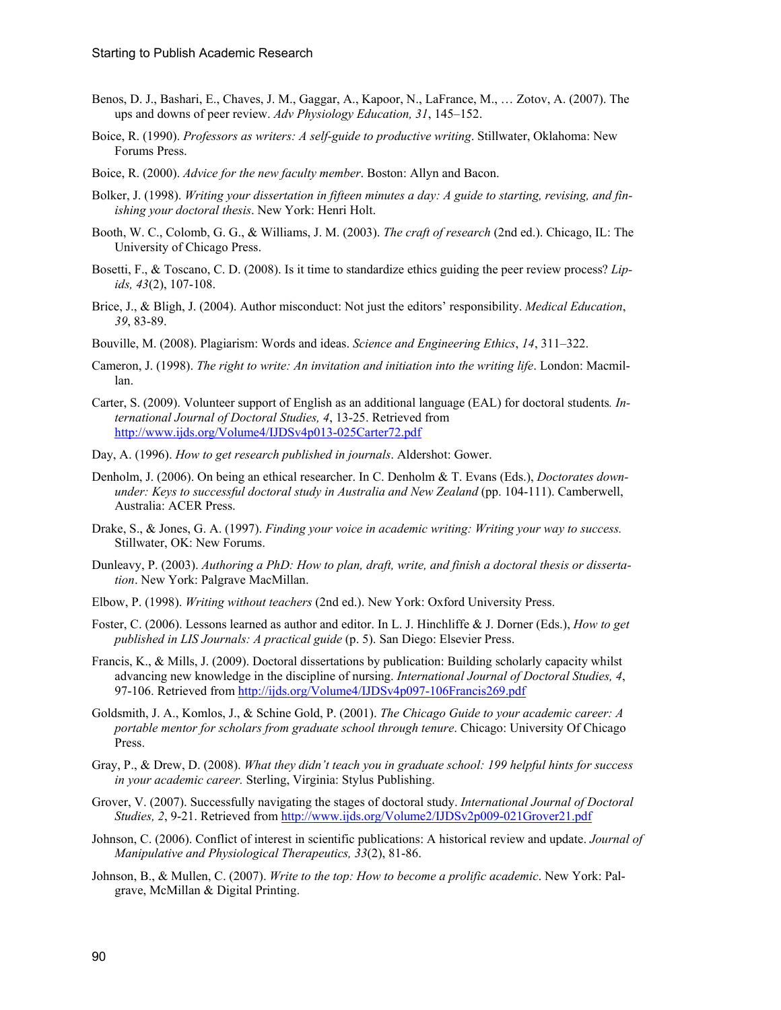- Benos, D. J., Bashari, E., Chaves, J. M., Gaggar, A., Kapoor, N., LaFrance, M., … Zotov, A. (2007). The ups and downs of peer review. *Adv Physiology Education, 31*, 145–152.
- Boice, R. (1990). *Professors as writers: A self-guide to productive writing*. Stillwater, Oklahoma: New Forums Press.
- Boice, R. (2000). *Advice for the new faculty member*. Boston: Allyn and Bacon.
- Bolker, J. (1998). *Writing your dissertation in fifteen minutes a day: A guide to starting, revising, and finishing your doctoral thesis*. New York: Henri Holt.
- Booth, W. C., Colomb, G. G., & Williams, J. M. (2003). *The craft of research* (2nd ed.). Chicago, IL: The University of Chicago Press.
- Bosetti, F., & Toscano, C. D. (2008). Is it time to standardize ethics guiding the peer review process? *Lipids, 43*(2), 107-108.
- Brice, J., & Bligh, J. (2004). Author misconduct: Not just the editors' responsibility. *Medical Education*, *39*, 83-89.
- Bouville, M. (2008). Plagiarism: Words and ideas. *Science and Engineering Ethics*, *14*, 311–322.
- Cameron, J. (1998). *The right to write: An invitation and initiation into the writing life*. London: Macmillan.
- Carter, S. (2009). Volunteer support of English as an additional language (EAL) for doctoral students*. International Journal of Doctoral Studies, 4*, 13-25. Retrieved from <http://www.ijds.org/Volume4/IJDSv4p013-025Carter72.pdf>
- Day, A. (1996). *How to get research published in journals*. Aldershot: Gower.
- Denholm, J. (2006). On being an ethical researcher. In C. Denholm & T. Evans (Eds.), *Doctorates downunder: Keys to successful doctoral study in Australia and New Zealand* (pp. 104-111). Camberwell, Australia: ACER Press.
- Drake, S., & Jones, G. A. (1997). *Finding your voice in academic writing: Writing your way to success.*  Stillwater, OK: New Forums.
- Dunleavy, P. (2003). *Authoring a PhD: How to plan, draft, write, and finish a doctoral thesis or dissertation*. New York: Palgrave MacMillan.
- Elbow, P. (1998). *Writing without teachers* (2nd ed.). New York: Oxford University Press.
- Foster, C. (2006). Lessons learned as author and editor. In L. J. Hinchliffe & J. Dorner (Eds.), *How to get published in LIS Journals: A practical guide* (p. 5). San Diego: Elsevier Press.
- Francis, K., & Mills, J. (2009). Doctoral dissertations by publication: Building scholarly capacity whilst advancing new knowledge in the discipline of nursing. *International Journal of Doctoral Studies, 4*, 97-106. Retrieved from <http://ijds.org/Volume4/IJDSv4p097-106Francis269.pdf>
- Goldsmith, J. A., Komlos, J., & Schine Gold, P. (2001). *The Chicago Guide to your academic career: A portable mentor for scholars from graduate school through tenure*. Chicago: University Of Chicago Press.
- Gray, P., & Drew, D. (2008). *What they didn't teach you in graduate school: 199 helpful hints for success in your academic career.* Sterling, Virginia: Stylus Publishing.
- Grover, V. (2007). Successfully navigating the stages of doctoral study. *International Journal of Doctoral Studies, 2*, 9-21. Retrieved from<http://www.ijds.org/Volume2/IJDSv2p009-021Grover21.pdf>
- Johnson, C. (2006). Conflict of interest in scientific publications: A historical review and update. *Journal of Manipulative and Physiological Therapeutics, 33*(2), 81-86.
- Johnson, B., & Mullen, C. (2007). *Write to the top: How to become a prolific academic*. New York: Palgrave, McMillan & Digital Printing.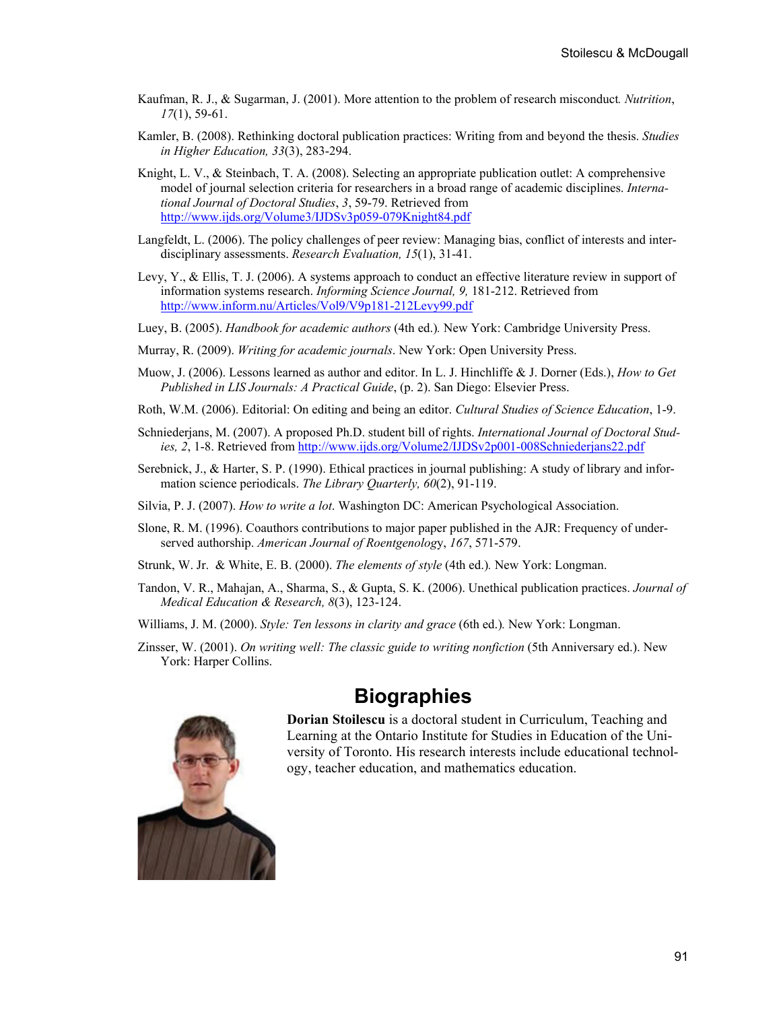- Kaufman, R. J., & Sugarman, J. (2001). More attention to the problem of research misconduct*. Nutrition*, *17*(1), 59-61.
- Kamler, B. (2008). Rethinking doctoral publication practices: Writing from and beyond the thesis. *Studies in Higher Education, 33*(3), 283-294.
- Knight, L. V., & Steinbach, T. A. (2008). Selecting an appropriate publication outlet: A comprehensive model of journal selection criteria for researchers in a broad range of academic disciplines. *International Journal of Doctoral Studies*, *3*, 59-79. Retrieved from <http://www.ijds.org/Volume3/IJDSv3p059-079Knight84.pdf>
- Langfeldt, L. (2006). The policy challenges of peer review: Managing bias, conflict of interests and interdisciplinary assessments. *Research Evaluation, 15*(1), 31-41.
- Levy, Y., & Ellis, T. J. (2006). A systems approach to conduct an effective literature review in support of information systems research. *Informing Science Journal, 9,* 181-212. Retrieved from <http://www.inform.nu/Articles/Vol9/V9p181-212Levy99.pdf>
- Luey, B. (2005). *Handbook for academic authors* (4th ed.)*.* New York: Cambridge University Press.
- Murray, R. (2009). *Writing for academic journals*. New York: Open University Press.
- Muow, J. (2006). Lessons learned as author and editor. In L. J. Hinchliffe & J. Dorner (Eds.), *How to Get Published in LIS Journals: A Practical Guide*, (p. 2). San Diego: Elsevier Press.
- Roth, W.M. (2006). Editorial: On editing and being an editor. *Cultural Studies of Science Education*, 1-9.
- Schniederjans, M. (2007). A proposed Ph.D. student bill of rights. *International Journal of Doctoral Studies, 2*, 1-8. Retrieved from <http://www.ijds.org/Volume2/IJDSv2p001-008Schniederjans22.pdf>
- Serebnick, J., & Harter, S. P. (1990). Ethical practices in journal publishing: A study of library and information science periodicals. *The Library Quarterly, 60*(2), 91-119.
- Silvia, P. J. (2007). *How to write a lot*. Washington DC: American Psychological Association.
- Slone, R. M. (1996). Coauthors contributions to major paper published in the AJR: Frequency of underserved authorship. *American Journal of Roentgenolog*y, *167*, 571-579.
- Strunk, W. Jr. & White, E. B. (2000). *The elements of style* (4th ed.)*.* New York: Longman.
- Tandon, V. R., Mahajan, A., Sharma, S., & Gupta, S. K. (2006). Unethical publication practices. *Journal of Medical Education & Research, 8*(3), 123-124.
- Williams, J. M. (2000). *Style: Ten lessons in clarity and grace* (6th ed.)*.* New York: Longman.
- Zinsser, W. (2001). *On writing well: The classic guide to writing nonfiction* (5th Anniversary ed.). New York: Harper Collins.

### **Biographies**



**Dorian Stoilescu** is a doctoral student in Curriculum, Teaching and Learning at the Ontario Institute for Studies in Education of the University of Toronto. His research interests include educational technology, teacher education, and mathematics education.